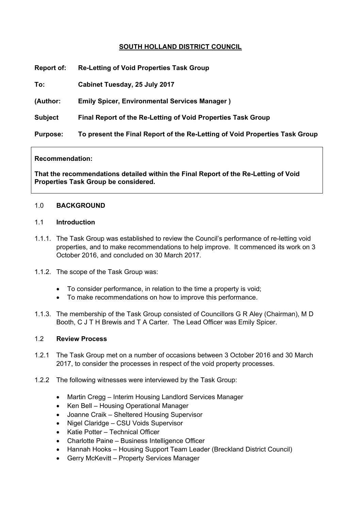## **SOUTH HOLLAND DISTRICT COUNCIL**

| <b>Report of:</b> | <b>Re-Letting of Void Properties Task Group</b>                             |
|-------------------|-----------------------------------------------------------------------------|
| To:               | Cabinet Tuesday, 25 July 2017                                               |
| (Author:          | <b>Emily Spicer, Environmental Services Manager)</b>                        |
| <b>Subject</b>    | Final Report of the Re-Letting of Void Properties Task Group                |
| <b>Purpose:</b>   | To present the Final Report of the Re-Letting of Void Properties Task Group |
|                   |                                                                             |

#### **Recommendation:**

**That the recommendations detailed within the Final Report of the Re-Letting of Void Properties Task Group be considered.**

#### 1.0 **BACKGROUND**

### 1.1 **Introduction**

- 1.1.1. The Task Group was established to review the Council's performance of re-letting void properties, and to make recommendations to help improve. It commenced its work on 3 October 2016, and concluded on 30 March 2017.
- 1.1.2. The scope of the Task Group was:
	- To consider performance, in relation to the time a property is void;
	- To make recommendations on how to improve this performance.
- 1.1.3. The membership of the Task Group consisted of Councillors G R Aley (Chairman), M D Booth, C J T H Brewis and T A Carter. The Lead Officer was Emily Spicer.

### 1.2 **Review Process**

- 1.2.1 The Task Group met on a number of occasions between 3 October 2016 and 30 March 2017, to consider the processes in respect of the void property processes.
- 1.2.2 The following witnesses were interviewed by the Task Group:
	- Martin Cregg Interim Housing Landlord Services Manager
	- Ken Bell Housing Operational Manager
	- Joanne Craik Sheltered Housing Supervisor
	- Nigel Claridge CSU Voids Supervisor
	- Katie Potter Technical Officer
	- Charlotte Paine Business Intelligence Officer
	- Hannah Hooks Housing Support Team Leader (Breckland District Council)
	- Gerry McKevitt Property Services Manager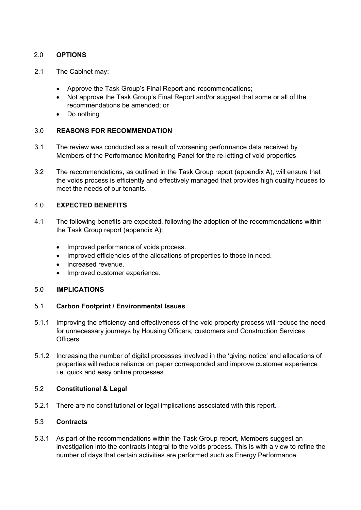# 2.0 **OPTIONS**

- 2.1 The Cabinet may:
	- Approve the Task Group's Final Report and recommendations;
	- Not approve the Task Group's Final Report and/or suggest that some or all of the recommendations be amended; or
	- Do nothing

### 3.0 **REASONS FOR RECOMMENDATION**

- 3.1 The review was conducted as a result of worsening performance data received by Members of the Performance Monitoring Panel for the re-letting of void properties.
- 3.2 The recommendations, as outlined in the Task Group report (appendix A), will ensure that the voids process is efficiently and effectively managed that provides high quality houses to meet the needs of our tenants.

## 4.0 **EXPECTED BENEFITS**

- 4.1 The following benefits are expected, following the adoption of the recommendations within the Task Group report (appendix A):
	- Improved performance of voids process.
	- Improved efficiencies of the allocations of properties to those in need.
	- Increased revenue.
	- Improved customer experience.

### 5.0 **IMPLICATIONS**

### 5.1 **Carbon Footprint / Environmental Issues**

- 5.1.1 Improving the efficiency and effectiveness of the void property process will reduce the need for unnecessary journeys by Housing Officers, customers and Construction Services Officers.
- 5.1.2 Increasing the number of digital processes involved in the 'giving notice' and allocations of properties will reduce reliance on paper corresponded and improve customer experience i.e. quick and easy online processes.

### 5.2 **Constitutional & Legal**

5.2.1 There are no constitutional or legal implications associated with this report.

## 5.3 **Contracts**

5.3.1 As part of the recommendations within the Task Group report, Members suggest an investigation into the contracts integral to the voids process. This is with a view to refine the number of days that certain activities are performed such as Energy Performance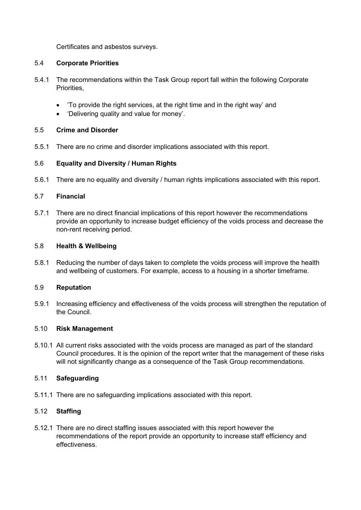Certificates and asbestos surveys.

## 5.4 **Corporate Priorities**

- 5.4.1 The recommendations within the Task Group report fall within the following Corporate Priorities,
	- 'To provide the right services, at the right time and in the right way' and
	- 'Delivering quality and value for money'.

## 5.5 **Crime and Disorder**

5.5.1 There are no crime and disorder implications associated with this report.

# 5.6 **Equality and Diversity / Human Rights**

5.6.1 There are no equality and diversity / human rights implications associated with this report.

## 5.7 **Financial**

5.7.1 There are no direct financial implications of this report however the recommendations provide an opportunity to increase budget efficiency of the voids process and decrease the non-rent receiving period.

### 5.8 **Health & Wellbeing**

5.8.1 Reducing the number of days taken to complete the voids process will improve the health and wellbeing of customers. For example, access to a housing in a shorter timeframe.

### 5.9 **Reputation**

5.9.1 Increasing efficiency and effectiveness of the voids process will strengthen the reputation of the Council.

### 5.10 **Risk Management**

5.10.1 All current risks associated with the voids process are managed as part of the standard Council procedures. It is the opinion of the report writer that the management of these risks will not significantly change as a consequence of the Task Group recommendations.

# 5.11 **Safeguarding**

5.11.1 There are no safeguarding implications associated with this report.

# 5.12 **Staffing**

5.12.1 There are no direct staffing issues associated with this report however the recommendations of the report provide an opportunity to increase staff efficiency and effectiveness.